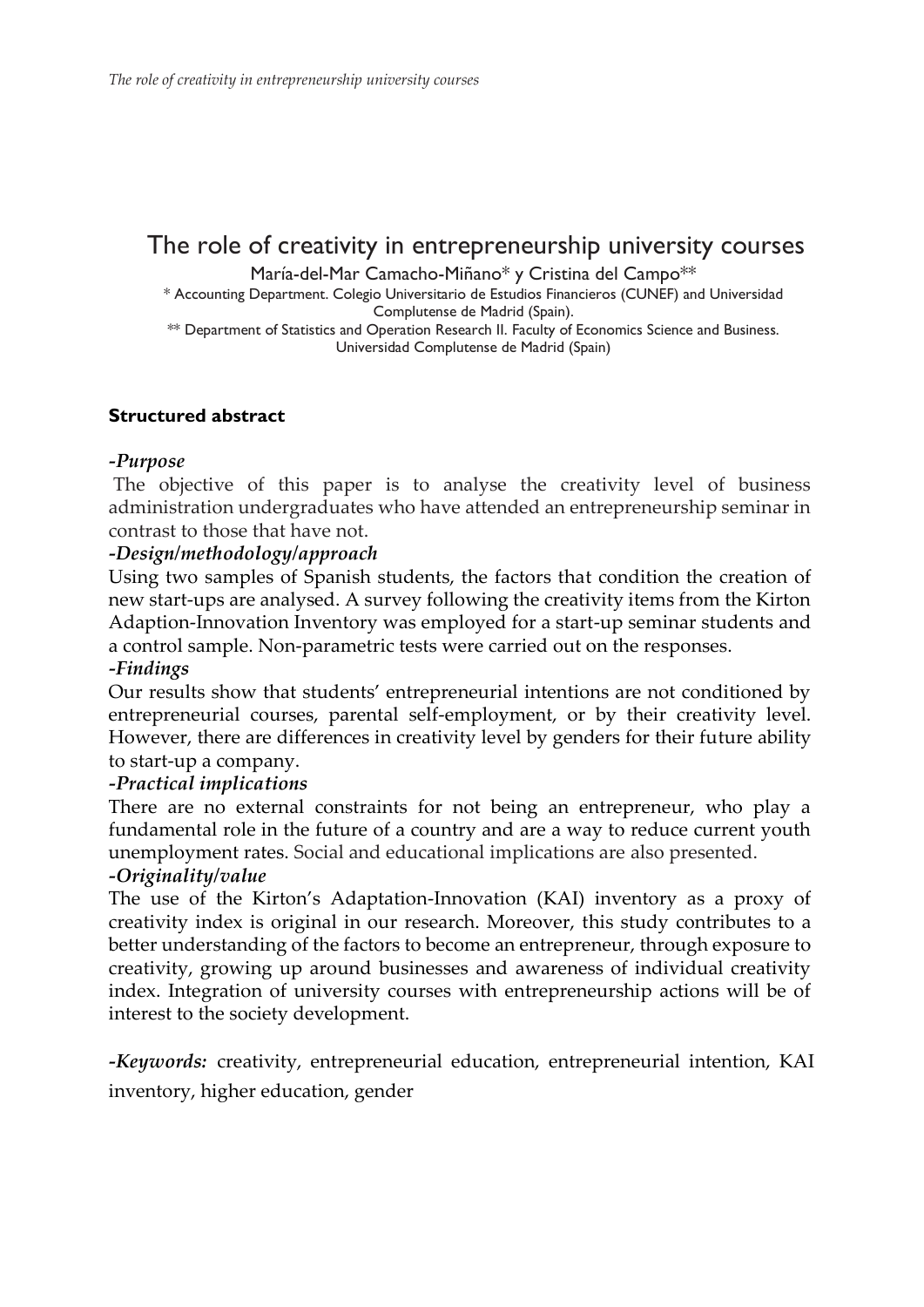# The role of creativity in entrepreneurship university courses

María-del-Mar Camacho-Miñano\* y Cristina del Campo\*\*

\* Accounting Department. Colegio Universitario de Estudios Financieros (CUNEF) and Universidad Complutense de Madrid (Spain).

\*\* Department of Statistics and Operation Research II. Faculty of Economics Science and Business. Universidad Complutense de Madrid (Spain)

# **Structured abstract**

# *-Purpose*

The objective of this paper is to analyse the creativity level of business administration undergraduates who have attended an entrepreneurship seminar in contrast to those that have not.

# *-Design/methodology/approach*

Using two samples of Spanish students, the factors that condition the creation of new start-ups are analysed. A survey following the creativity items from the Kirton Adaption-Innovation Inventory was employed for a start-up seminar students and a control sample. Non-parametric tests were carried out on the responses.

# *-Findings*

Our results show that students' entrepreneurial intentions are not conditioned by entrepreneurial courses, parental self-employment, or by their creativity level. However, there are differences in creativity level by genders for their future ability to start-up a company.

# *-Practical implications*

There are no external constraints for not being an entrepreneur, who play a fundamental role in the future of a country and are a way to reduce current youth unemployment rates. Social and educational implications are also presented.

## *-Originality/value*

The use of the Kirton's Adaptation-Innovation (KAI) inventory as a proxy of creativity index is original in our research. Moreover, this study contributes to a better understanding of the factors to become an entrepreneur, through exposure to creativity, growing up around businesses and awareness of individual creativity index. Integration of university courses with entrepreneurship actions will be of interest to the society development.

*-Keywords:* creativity, entrepreneurial education, entrepreneurial intention, KAI inventory, higher education, gender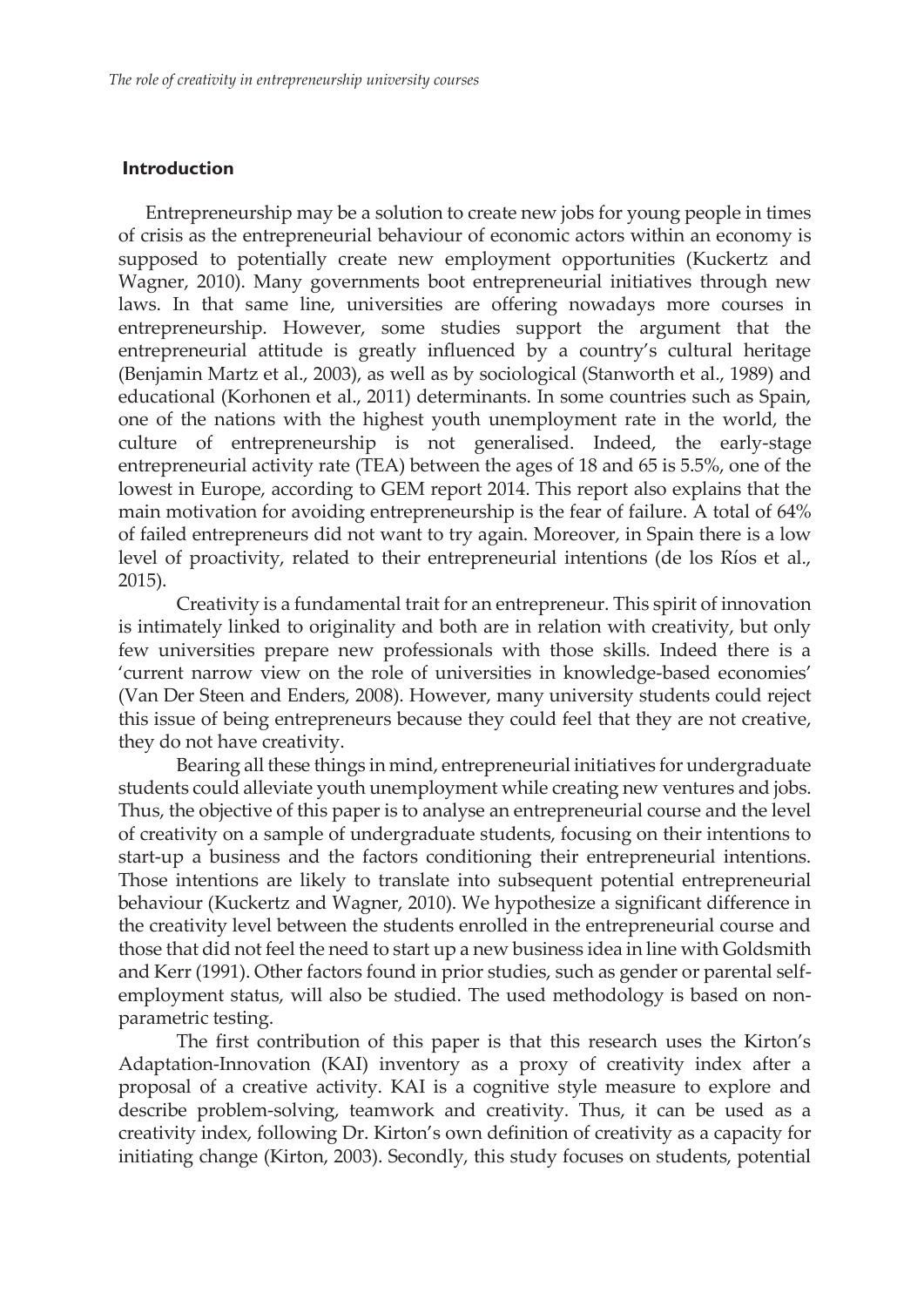#### **Introduction**

Entrepreneurship may be a solution to create new jobs for young people in times of crisis as the entrepreneurial behaviour of economic actors within an economy is supposed to potentially create new employment opportunities (Kuckertz and Wagner, 2010). Many governments boot entrepreneurial initiatives through new laws. In that same line, universities are offering nowadays more courses in entrepreneurship. However, some studies support the argument that the entrepreneurial attitude is greatly influenced by a country's cultural heritage (Benjamin Martz et al., 2003), as well as by sociological (Stanworth et al., 1989) and educational (Korhonen et al., 2011) determinants. In some countries such as Spain, one of the nations with the highest youth unemployment rate in the world, the culture of entrepreneurship is not generalised. Indeed, the early-stage entrepreneurial activity rate (TEA) between the ages of 18 and 65 is 5.5%, one of the lowest in Europe, according to GEM report 2014. This report also explains that the main motivation for avoiding entrepreneurship is the fear of failure. A total of 64% of failed entrepreneurs did not want to try again. Moreover, in Spain there is a low level of proactivity, related to their entrepreneurial intentions (de los Ríos et al., 2015).

Creativity is a fundamental trait for an entrepreneur. This spirit of innovation is intimately linked to originality and both are in relation with creativity, but only few universities prepare new professionals with those skills. Indeed there is a 'current narrow view on the role of universities in knowledge-based economies' (Van Der Steen and Enders, 2008). However, many university students could reject this issue of being entrepreneurs because they could feel that they are not creative, they do not have creativity.

Bearing all these things in mind, entrepreneurial initiatives for undergraduate students could alleviate youth unemployment while creating new ventures and jobs. Thus, the objective of this paper is to analyse an entrepreneurial course and the level of creativity on a sample of undergraduate students, focusing on their intentions to start-up a business and the factors conditioning their entrepreneurial intentions. Those intentions are likely to translate into subsequent potential entrepreneurial behaviour (Kuckertz and Wagner, 2010). We hypothesize a significant difference in the creativity level between the students enrolled in the entrepreneurial course and those that did not feel the need to start up a new business idea in line with Goldsmith and Kerr (1991). Other factors found in prior studies, such as gender or parental selfemployment status, will also be studied. The used methodology is based on nonparametric testing.

The first contribution of this paper is that this research uses the Kirton's Adaptation-Innovation (KAI) inventory as a proxy of creativity index after a proposal of a creative activity. KAI is a cognitive style measure to explore and describe problem-solving, teamwork and creativity. Thus, it can be used as a creativity index, following Dr. Kirton's own definition of creativity as a capacity for initiating change (Kirton, 2003). Secondly, this study focuses on students, potential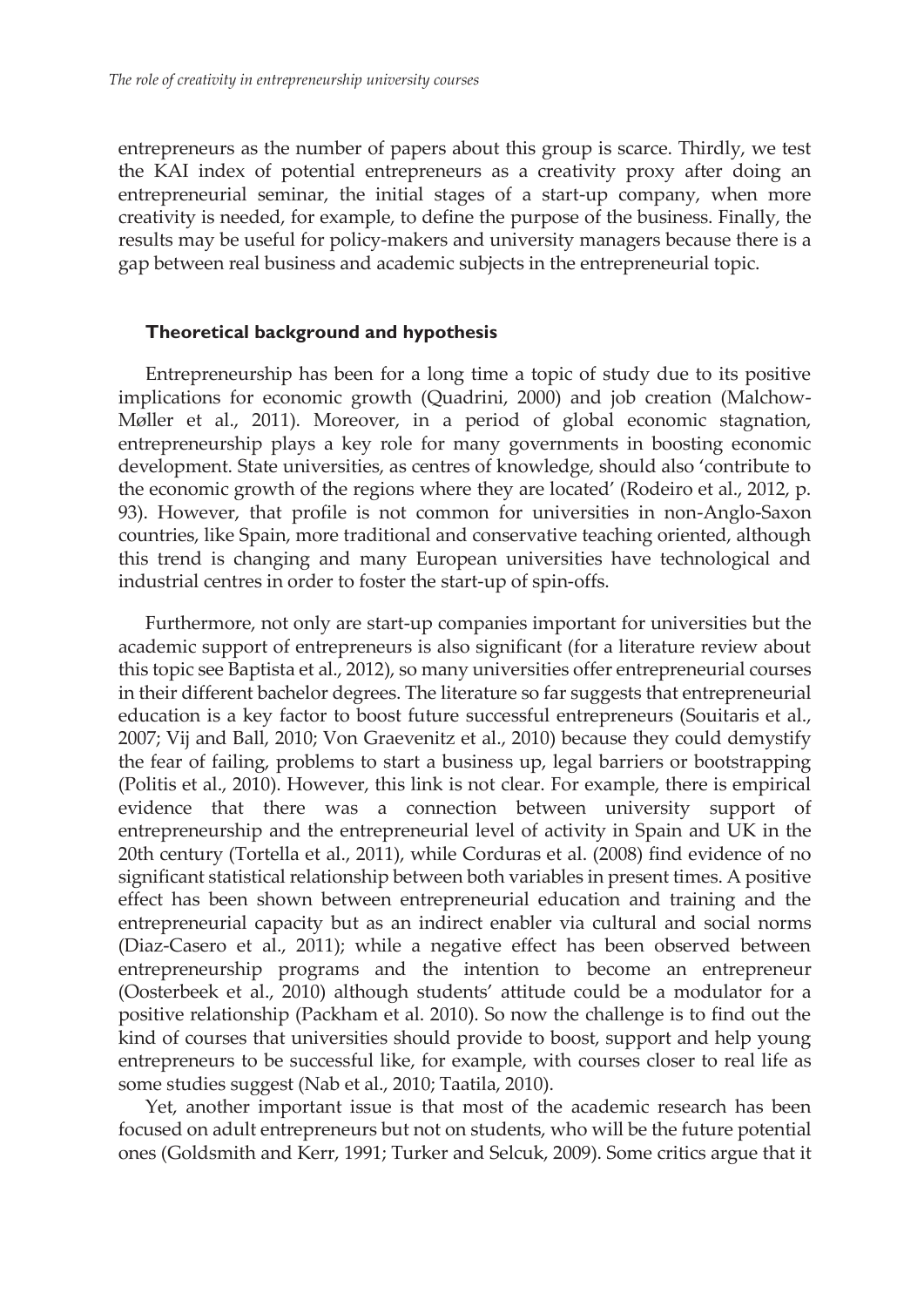entrepreneurs as the number of papers about this group is scarce. Thirdly, we test the KAI index of potential entrepreneurs as a creativity proxy after doing an entrepreneurial seminar, the initial stages of a start-up company, when more creativity is needed, for example, to define the purpose of the business. Finally, the results may be useful for policy-makers and university managers because there is a gap between real business and academic subjects in the entrepreneurial topic.

#### **Theoretical background and hypothesis**

Entrepreneurship has been for a long time a topic of study due to its positive implications for economic growth (Quadrini, 2000) and job creation (Malchow-Møller et al., 2011). Moreover, in a period of global economic stagnation, entrepreneurship plays a key role for many governments in boosting economic development. State universities, as centres of knowledge, should also 'contribute to the economic growth of the regions where they are located' (Rodeiro et al., 2012, p. 93). However, that profile is not common for universities in non-Anglo-Saxon countries, like Spain, more traditional and conservative teaching oriented, although this trend is changing and many European universities have technological and industrial centres in order to foster the start-up of spin-offs.

Furthermore, not only are start-up companies important for universities but the academic support of entrepreneurs is also significant (for a literature review about this topic see Baptista et al., 2012), so many universities offer entrepreneurial courses in their different bachelor degrees. The literature so far suggests that entrepreneurial education is a key factor to boost future successful entrepreneurs (Souitaris et al., 2007; Vij and Ball, 2010; Von Graevenitz et al., 2010) because they could demystify the fear of failing, problems to start a business up, legal barriers or bootstrapping (Politis et al., 2010). However, this link is not clear. For example, there is empirical evidence that there was a connection between university support of entrepreneurship and the entrepreneurial level of activity in Spain and UK in the 20th century (Tortella et al., 2011), while Corduras et al. (2008) find evidence of no significant statistical relationship between both variables in present times. A positive effect has been shown between entrepreneurial education and training and the entrepreneurial capacity but as an indirect enabler via cultural and social norms (Diaz-Casero et al., 2011); while a negative effect has been observed between entrepreneurship programs and the intention to become an entrepreneur (Oosterbeek et al., 2010) although students' attitude could be a modulator for a positive relationship (Packham et al. 2010). So now the challenge is to find out the kind of courses that universities should provide to boost, support and help young entrepreneurs to be successful like, for example, with courses closer to real life as some studies suggest (Nab et al., 2010; Taatila, 2010).

Yet, another important issue is that most of the academic research has been focused on adult entrepreneurs but not on students, who will be the future potential ones (Goldsmith and Kerr, 1991; Turker and Selcuk, 2009). Some critics argue that it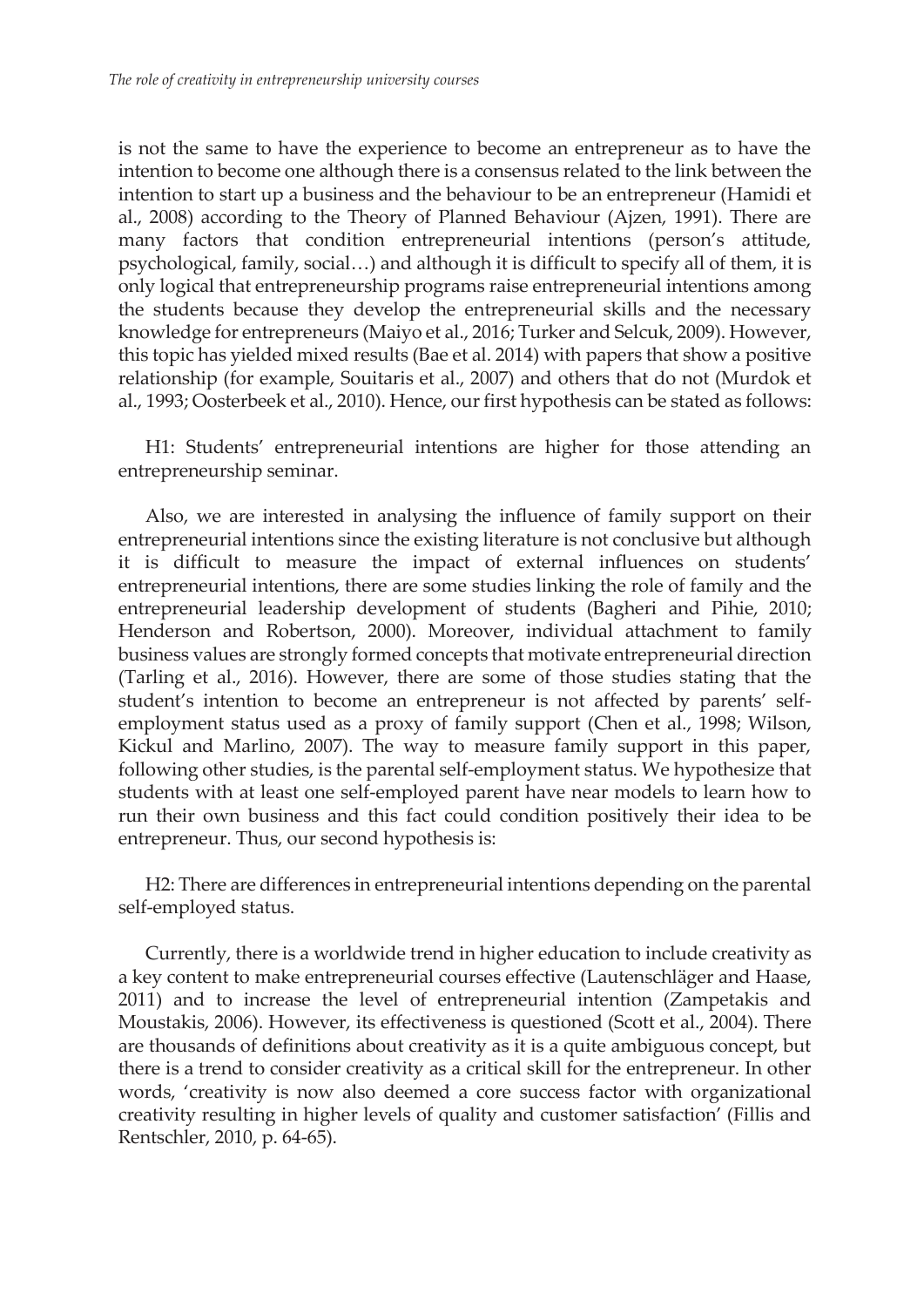is not the same to have the experience to become an entrepreneur as to have the intention to become one although there is a consensus related to the link between the intention to start up a business and the behaviour to be an entrepreneur (Hamidi et al., 2008) according to the Theory of Planned Behaviour (Ajzen, 1991). There are many factors that condition entrepreneurial intentions (person's attitude, psychological, family, social…) and although it is difficult to specify all of them, it is only logical that entrepreneurship programs raise entrepreneurial intentions among the students because they develop the entrepreneurial skills and the necessary knowledge for entrepreneurs (Maiyo et al., 2016; Turker and Selcuk, 2009). However, this topic has yielded mixed results (Bae et al. 2014) with papers that show a positive relationship (for example, Souitaris et al., 2007) and others that do not (Murdok et al., 1993; Oosterbeek et al., 2010). Hence, our first hypothesis can be stated as follows:

H1: Students' entrepreneurial intentions are higher for those attending an entrepreneurship seminar.

Also, we are interested in analysing the influence of family support on their entrepreneurial intentions since the existing literature is not conclusive but although it is difficult to measure the impact of external influences on students' entrepreneurial intentions, there are some studies linking the role of family and the entrepreneurial leadership development of students (Bagheri and Pihie, 2010; Henderson and Robertson, 2000). Moreover, individual attachment to family business values are strongly formed concepts that motivate entrepreneurial direction (Tarling et al., 2016). However, there are some of those studies stating that the student's intention to become an entrepreneur is not affected by parents' selfemployment status used as a proxy of family support (Chen et al., 1998; Wilson, Kickul and Marlino, 2007). The way to measure family support in this paper, following other studies, is the parental self-employment status. We hypothesize that students with at least one self-employed parent have near models to learn how to run their own business and this fact could condition positively their idea to be entrepreneur. Thus, our second hypothesis is:

H2: There are differences in entrepreneurial intentions depending on the parental self-employed status.

Currently, there is a worldwide trend in higher education to include creativity as a key content to make entrepreneurial courses effective (Lautenschläger and Haase, 2011) and to increase the level of entrepreneurial intention (Zampetakis and Moustakis, 2006). However, its effectiveness is questioned (Scott et al., 2004). There are thousands of definitions about creativity as it is a quite ambiguous concept, but there is a trend to consider creativity as a critical skill for the entrepreneur. In other words, 'creativity is now also deemed a core success factor with organizational creativity resulting in higher levels of quality and customer satisfaction' (Fillis and Rentschler, 2010, p. 64-65).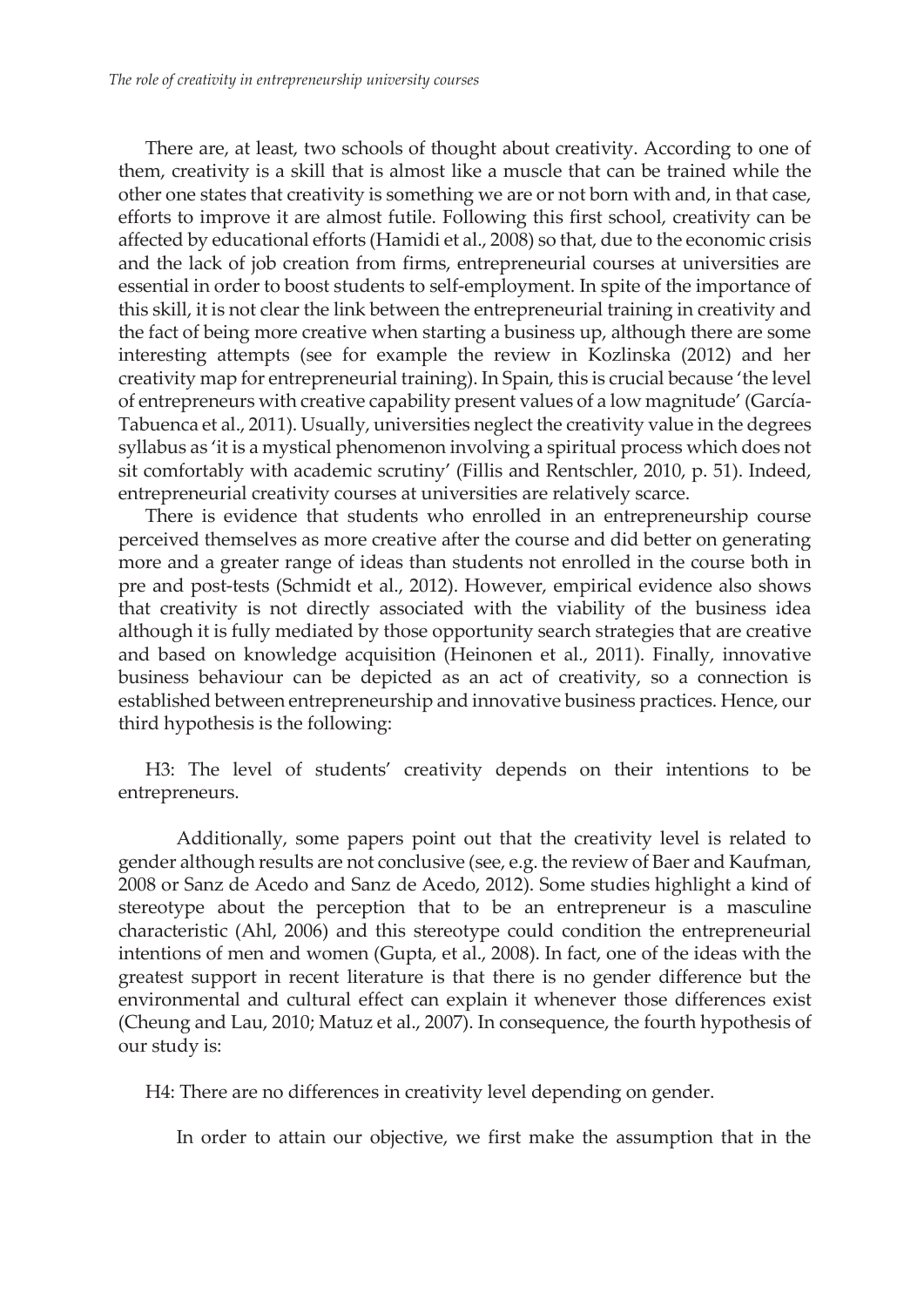There are, at least, two schools of thought about creativity. According to one of them, creativity is a skill that is almost like a muscle that can be trained while the other one states that creativity is something we are or not born with and, in that case, efforts to improve it are almost futile. Following this first school, creativity can be affected by educational efforts (Hamidi et al., 2008) so that, due to the economic crisis and the lack of job creation from firms, entrepreneurial courses at universities are essential in order to boost students to self-employment. In spite of the importance of this skill, it is not clear the link between the entrepreneurial training in creativity and the fact of being more creative when starting a business up, although there are some interesting attempts (see for example the review in Kozlinska (2012) and her creativity map for entrepreneurial training). In Spain, this is crucial because 'the level of entrepreneurs with creative capability present values of a low magnitude' (García-Tabuenca et al., 2011). Usually, universities neglect the creativity value in the degrees syllabus as 'it is a mystical phenomenon involving a spiritual process which does not sit comfortably with academic scrutiny' (Fillis and Rentschler, 2010, p. 51). Indeed, entrepreneurial creativity courses at universities are relatively scarce.

There is evidence that students who enrolled in an entrepreneurship course perceived themselves as more creative after the course and did better on generating more and a greater range of ideas than students not enrolled in the course both in pre and post-tests (Schmidt et al., 2012). However, empirical evidence also shows that creativity is not directly associated with the viability of the business idea although it is fully mediated by those opportunity search strategies that are creative and based on knowledge acquisition (Heinonen et al., 2011). Finally, innovative business behaviour can be depicted as an act of creativity, so a connection is established between entrepreneurship and innovative business practices. Hence, our third hypothesis is the following:

H3: The level of students' creativity depends on their intentions to be entrepreneurs.

Additionally, some papers point out that the creativity level is related to gender although results are not conclusive (see, e.g. the review of Baer and Kaufman, 2008 or Sanz de Acedo and Sanz de Acedo, 2012). Some studies highlight a kind of stereotype about the perception that to be an entrepreneur is a masculine characteristic (Ahl, 2006) and this stereotype could condition the entrepreneurial intentions of men and women (Gupta, et al., 2008). In fact, one of the ideas with the greatest support in recent literature is that there is no gender difference but the environmental and cultural effect can explain it whenever those differences exist (Cheung and Lau, 2010; Matuz et al., 2007). In consequence, the fourth hypothesis of our study is:

H4: There are no differences in creativity level depending on gender.

In order to attain our objective, we first make the assumption that in the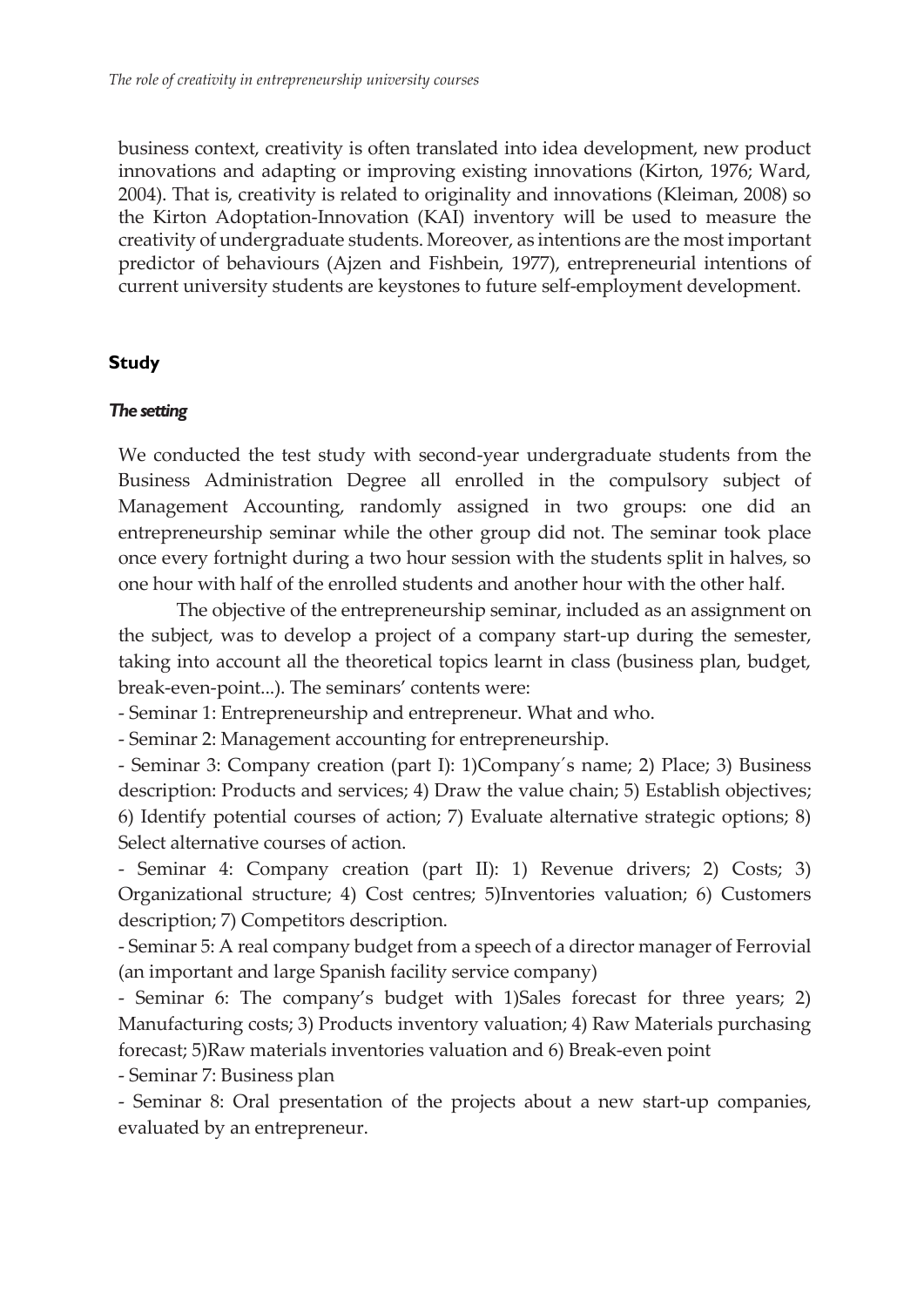business context, creativity is often translated into idea development, new product innovations and adapting or improving existing innovations (Kirton, 1976; Ward, 2004). That is, creativity is related to originality and innovations (Kleiman, 2008) so the Kirton Adoptation-Innovation (KAI) inventory will be used to measure the creativity of undergraduate students. Moreover, as intentions are the most important predictor of behaviours (Ajzen and Fishbein, 1977), entrepreneurial intentions of current university students are keystones to future self-employment development.

## **Study**

## *The setting*

We conducted the test study with second-year undergraduate students from the Business Administration Degree all enrolled in the compulsory subject of Management Accounting, randomly assigned in two groups: one did an entrepreneurship seminar while the other group did not. The seminar took place once every fortnight during a two hour session with the students split in halves, so one hour with half of the enrolled students and another hour with the other half.

The objective of the entrepreneurship seminar, included as an assignment on the subject, was to develop a project of a company start-up during the semester, taking into account all the theoretical topics learnt in class (business plan, budget, break-even-point...). The seminars' contents were:

- Seminar 1: Entrepreneurship and entrepreneur. What and who.

- Seminar 2: Management accounting for entrepreneurship.

- Seminar 3: Company creation (part I): 1)Company´s name; 2) Place; 3) Business description: Products and services; 4) Draw the value chain; 5) Establish objectives; 6) Identify potential courses of action; 7) Evaluate alternative strategic options; 8) Select alternative courses of action.

- Seminar 4: Company creation (part II): 1) Revenue drivers; 2) Costs; 3) Organizational structure; 4) Cost centres; 5)Inventories valuation; 6) Customers description; 7) Competitors description.

- Seminar 5: A real company budget from a speech of a director manager of Ferrovial (an important and large Spanish facility service company)

- Seminar 6: The company's budget with 1)Sales forecast for three years; 2) Manufacturing costs; 3) Products inventory valuation; 4) Raw Materials purchasing forecast; 5)Raw materials inventories valuation and 6) Break-even point

- Seminar 7: Business plan

- Seminar 8: Oral presentation of the projects about a new start-up companies, evaluated by an entrepreneur.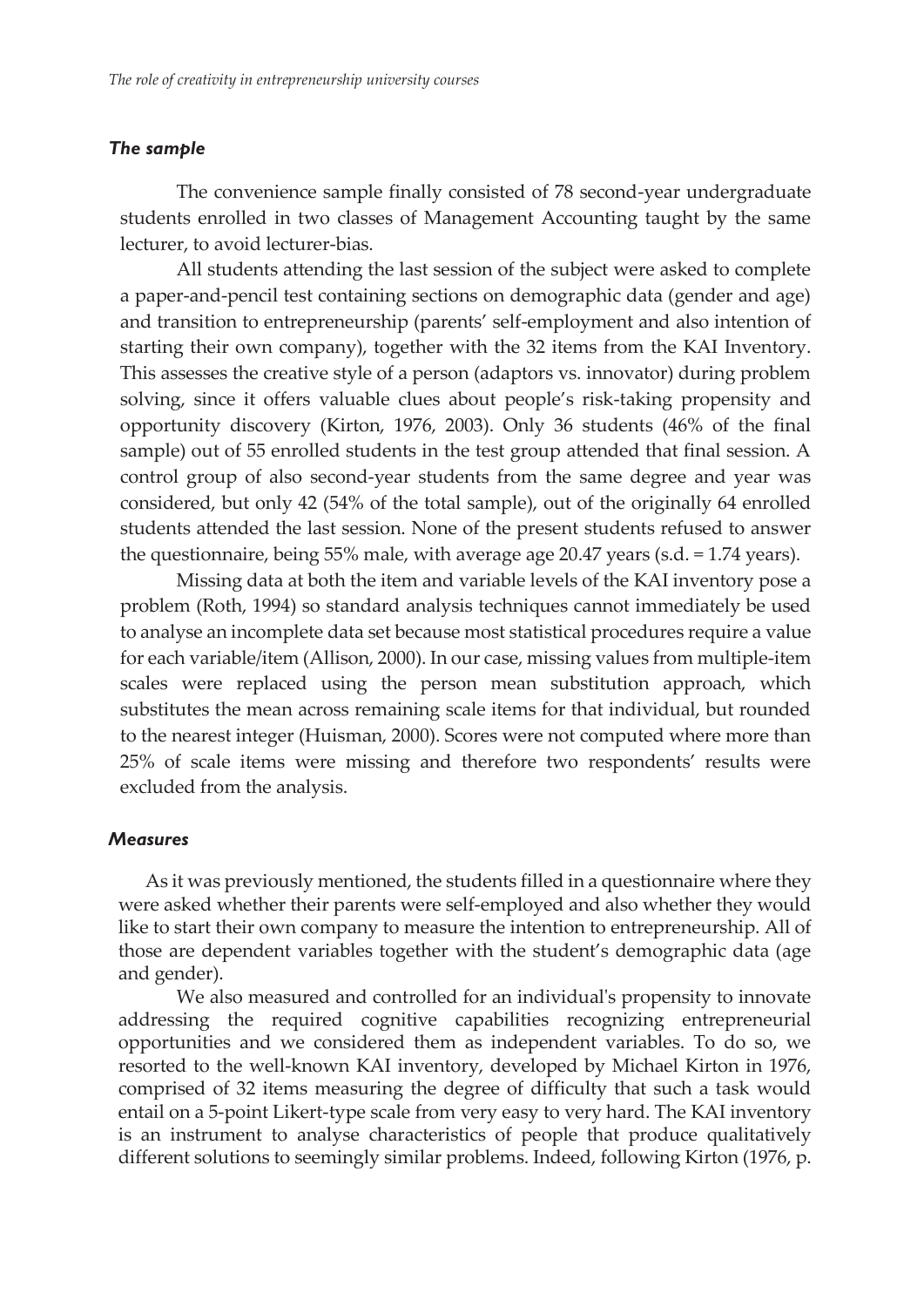## *The sample*

The convenience sample finally consisted of 78 second-year undergraduate students enrolled in two classes of Management Accounting taught by the same lecturer, to avoid lecturer-bias.

All students attending the last session of the subject were asked to complete a paper-and-pencil test containing sections on demographic data (gender and age) and transition to entrepreneurship (parents' self-employment and also intention of starting their own company), together with the 32 items from the KAI Inventory. This assesses the creative style of a person (adaptors vs. innovator) during problem solving, since it offers valuable clues about people's risk-taking propensity and opportunity discovery (Kirton, 1976, 2003). Only 36 students (46% of the final sample) out of 55 enrolled students in the test group attended that final session. A control group of also second-year students from the same degree and year was considered, but only 42 (54% of the total sample), out of the originally 64 enrolled students attended the last session. None of the present students refused to answer the questionnaire, being 55% male, with average age 20.47 years (s.d. = 1.74 years).

Missing data at both the item and variable levels of the KAI inventory pose a problem (Roth, 1994) so standard analysis techniques cannot immediately be used to analyse an incomplete data set because most statistical procedures require a value for each variable/item (Allison, 2000). In our case, missing values from multiple-item scales were replaced using the person mean substitution approach, which substitutes the mean across remaining scale items for that individual, but rounded to the nearest integer (Huisman, 2000). Scores were not computed where more than 25% of scale items were missing and therefore two respondents' results were excluded from the analysis.

#### *Measures*

As it was previously mentioned, the students filled in a questionnaire where they were asked whether their parents were self-employed and also whether they would like to start their own company to measure the intention to entrepreneurship. All of those are dependent variables together with the student's demographic data (age and gender).

We also measured and controlled for an individual's propensity to innovate addressing the required cognitive capabilities recognizing entrepreneurial opportunities and we considered them as independent variables. To do so, we resorted to the well-known KAI inventory, developed by Michael Kirton in 1976, comprised of 32 items measuring the degree of difficulty that such a task would entail on a 5-point Likert-type scale from very easy to very hard. The KAI inventory is an instrument to analyse characteristics of people that produce qualitatively different solutions to seemingly similar problems. Indeed, following Kirton (1976, p.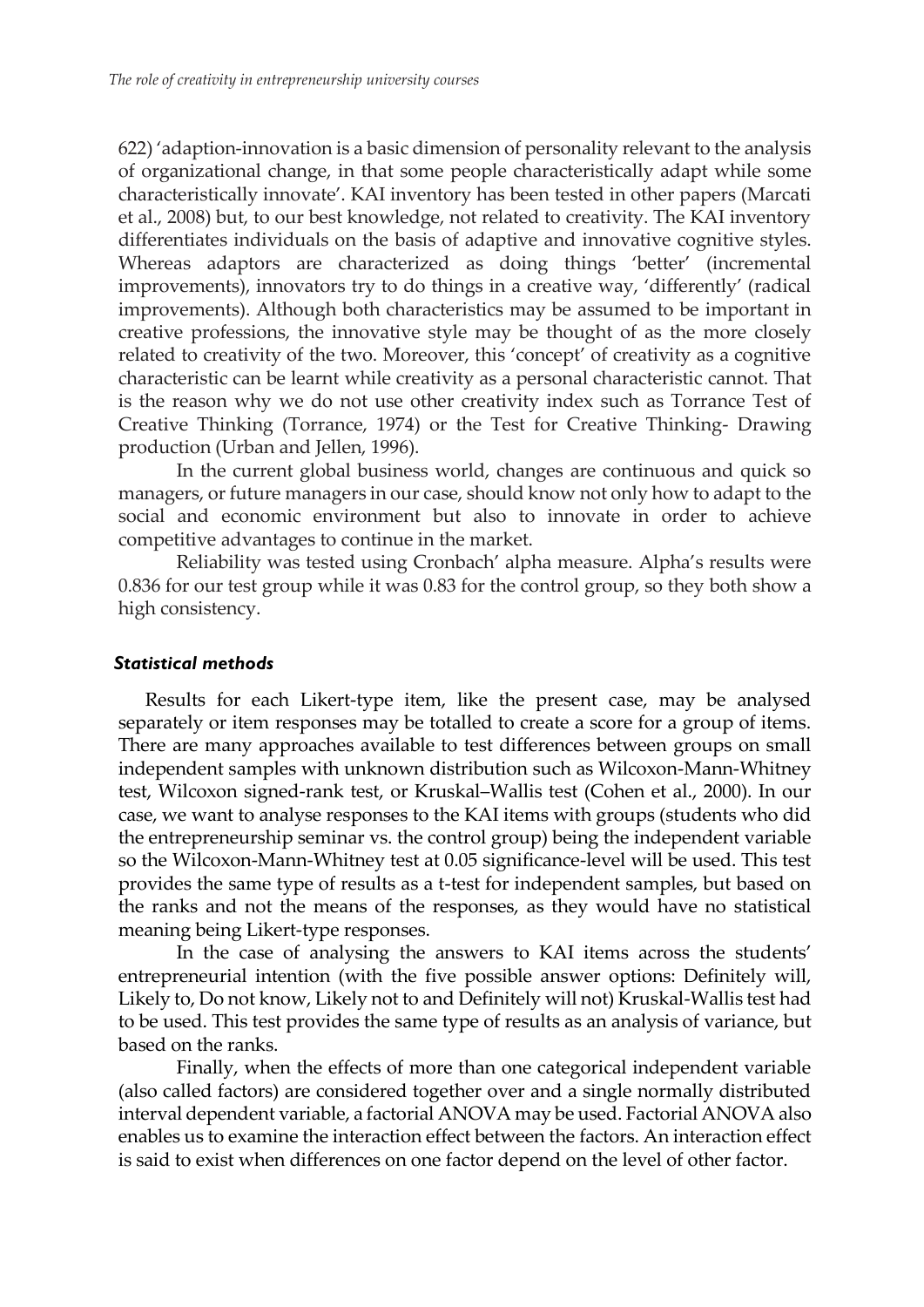622) 'adaption-innovation is a basic dimension of personality relevant to the analysis of organizational change, in that some people characteristically adapt while some characteristically innovate'. KAI inventory has been tested in other papers (Marcati et al., 2008) but, to our best knowledge, not related to creativity. The KAI inventory differentiates individuals on the basis of adaptive and innovative cognitive styles. Whereas adaptors are characterized as doing things 'better' (incremental improvements), innovators try to do things in a creative way, 'differently' (radical improvements). Although both characteristics may be assumed to be important in creative professions, the innovative style may be thought of as the more closely related to creativity of the two. Moreover, this 'concept' of creativity as a cognitive characteristic can be learnt while creativity as a personal characteristic cannot. That is the reason why we do not use other creativity index such as Torrance Test of Creative Thinking (Torrance, 1974) or the Test for Creative Thinking- Drawing production (Urban and Jellen, 1996).

In the current global business world, changes are continuous and quick so managers, or future managers in our case, should know not only how to adapt to the social and economic environment but also to innovate in order to achieve competitive advantages to continue in the market.

Reliability was tested using Cronbach' alpha measure. Alpha's results were 0.836 for our test group while it was 0.83 for the control group, so they both show a high consistency.

## *Statistical methods*

Results for each Likert-type item, like the present case, may be analysed separately or item responses may be totalled to create a score for a group of items. There are many approaches available to test differences between groups on small independent samples with unknown distribution such as Wilcoxon-Mann-Whitney test, Wilcoxon signed-rank test, or Kruskal–Wallis test (Cohen et al., 2000). In our case, we want to analyse responses to the KAI items with groups (students who did the entrepreneurship seminar vs. the control group) being the independent variable so the Wilcoxon-Mann-Whitney test at 0.05 significance-level will be used. This test provides the same type of results as a t-test for independent samples, but based on the ranks and not the means of the responses, as they would have no statistical meaning being Likert-type responses.

In the case of analysing the answers to KAI items across the students' entrepreneurial intention (with the five possible answer options: Definitely will, Likely to, Do not know, Likely not to and Definitely will not) Kruskal-Wallis test had to be used. This test provides the same type of results as an analysis of variance, but based on the ranks.

Finally, when the effects of more than one categorical independent variable (also called factors) are considered together over and a single normally distributed interval dependent variable, a factorial ANOVA may be used. Factorial ANOVA also enables us to examine the interaction effect between the factors. An interaction effect is said to exist when differences on one factor depend on the level of other factor.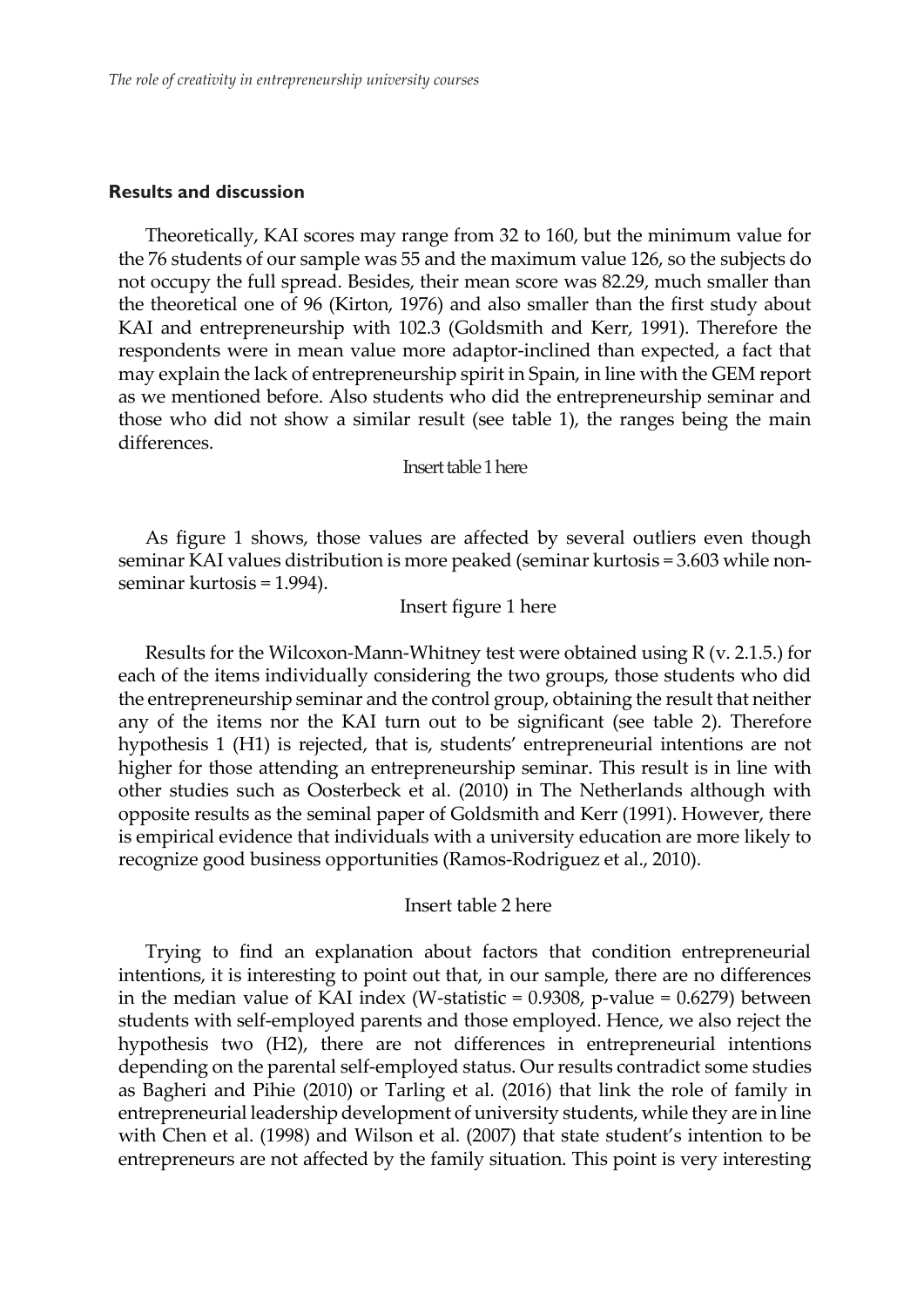#### **Results and discussion**

Theoretically, KAI scores may range from 32 to 160, but the minimum value for the 76 students of our sample was 55 and the maximum value 126, so the subjects do not occupy the full spread. Besides, their mean score was 82.29, much smaller than the theoretical one of 96 (Kirton, 1976) and also smaller than the first study about KAI and entrepreneurship with 102.3 (Goldsmith and Kerr, 1991). Therefore the respondents were in mean value more adaptor-inclined than expected, a fact that may explain the lack of entrepreneurship spirit in Spain, in line with the GEM report as we mentioned before. Also students who did the entrepreneurship seminar and those who did not show a similar result (see table 1), the ranges being the main differences.

Insert table 1 here

As figure 1 shows, those values are affected by several outliers even though seminar KAI values distribution is more peaked (seminar kurtosis = 3.603 while nonseminar kurtosis = 1.994).

## Insert figure 1 here

Results for the Wilcoxon-Mann-Whitney test were obtained using R (v. 2.1.5.) for each of the items individually considering the two groups, those students who did the entrepreneurship seminar and the control group, obtaining the result that neither any of the items nor the KAI turn out to be significant (see table 2). Therefore hypothesis 1 (H1) is rejected, that is, students' entrepreneurial intentions are not higher for those attending an entrepreneurship seminar. This result is in line with other studies such as Oosterbeck et al. (2010) in The Netherlands although with opposite results as the seminal paper of Goldsmith and Kerr (1991). However, there is empirical evidence that individuals with a university education are more likely to recognize good business opportunities (Ramos-Rodriguez et al., 2010).

#### Insert table 2 here

Trying to find an explanation about factors that condition entrepreneurial intentions, it is interesting to point out that, in our sample, there are no differences in the median value of KAI index (W-statistic  $= 0.9308$ , p-value  $= 0.6279$ ) between students with self-employed parents and those employed. Hence, we also reject the hypothesis two (H2), there are not differences in entrepreneurial intentions depending on the parental self-employed status. Our results contradict some studies as Bagheri and Pihie (2010) or Tarling et al. (2016) that link the role of family in entrepreneurial leadership development of university students, while they are in line with Chen et al. (1998) and Wilson et al. (2007) that state student's intention to be entrepreneurs are not affected by the family situation. This point is very interesting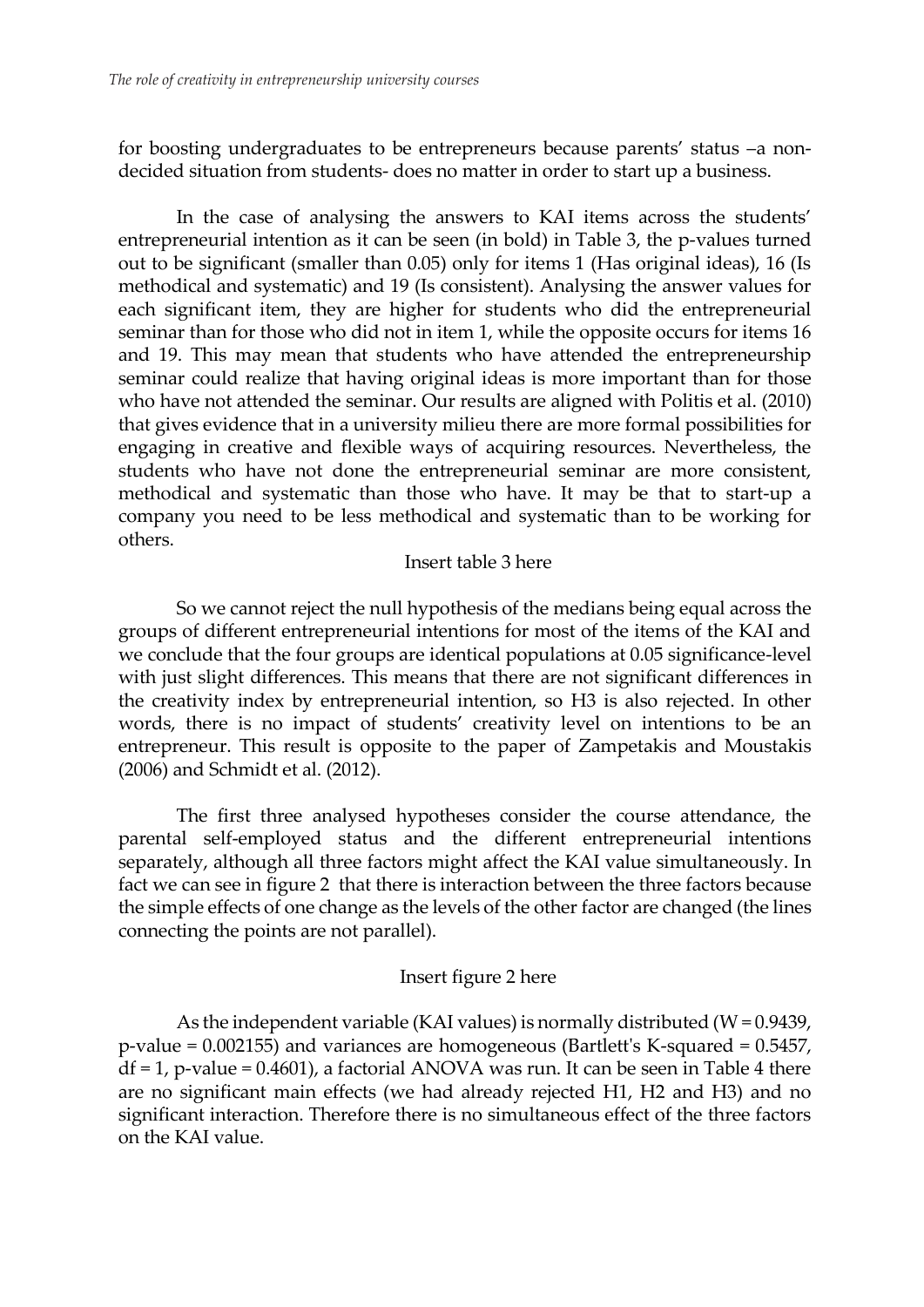for boosting undergraduates to be entrepreneurs because parents' status –a nondecided situation from students- does no matter in order to start up a business.

In the case of analysing the answers to KAI items across the students' entrepreneurial intention as it can be seen (in bold) in Table 3, the p-values turned out to be significant (smaller than 0.05) only for items 1 (Has original ideas), 16 (Is methodical and systematic) and 19 (Is consistent). Analysing the answer values for each significant item, they are higher for students who did the entrepreneurial seminar than for those who did not in item 1, while the opposite occurs for items 16 and 19. This may mean that students who have attended the entrepreneurship seminar could realize that having original ideas is more important than for those who have not attended the seminar. Our results are aligned with Politis et al. (2010) that gives evidence that in a university milieu there are more formal possibilities for engaging in creative and flexible ways of acquiring resources. Nevertheless, the students who have not done the entrepreneurial seminar are more consistent, methodical and systematic than those who have. It may be that to start-up a company you need to be less methodical and systematic than to be working for others.

## Insert table 3 here

So we cannot reject the null hypothesis of the medians being equal across the groups of different entrepreneurial intentions for most of the items of the KAI and we conclude that the four groups are identical populations at 0.05 significance-level with just slight differences. This means that there are not significant differences in the creativity index by entrepreneurial intention, so H3 is also rejected. In other words, there is no impact of students' creativity level on intentions to be an entrepreneur. This result is opposite to the paper of Zampetakis and Moustakis (2006) and Schmidt et al. (2012).

The first three analysed hypotheses consider the course attendance, the parental self-employed status and the different entrepreneurial intentions separately, although all three factors might affect the KAI value simultaneously. In fact we can see in figure 2 that there is interaction between the three factors because the simple effects of one change as the levels of the other factor are changed (the lines connecting the points are not parallel).

# Insert figure 2 here

As the independent variable (KAI values) is normally distributed ( $W = 0.9439$ , p-value = 0.002155) and variances are homogeneous (Bartlett's K-squared = 0.5457,  $df = 1$ , p-value = 0.4601), a factorial ANOVA was run. It can be seen in Table 4 there are no significant main effects (we had already rejected H1, H2 and H3) and no significant interaction. Therefore there is no simultaneous effect of the three factors on the KAI value.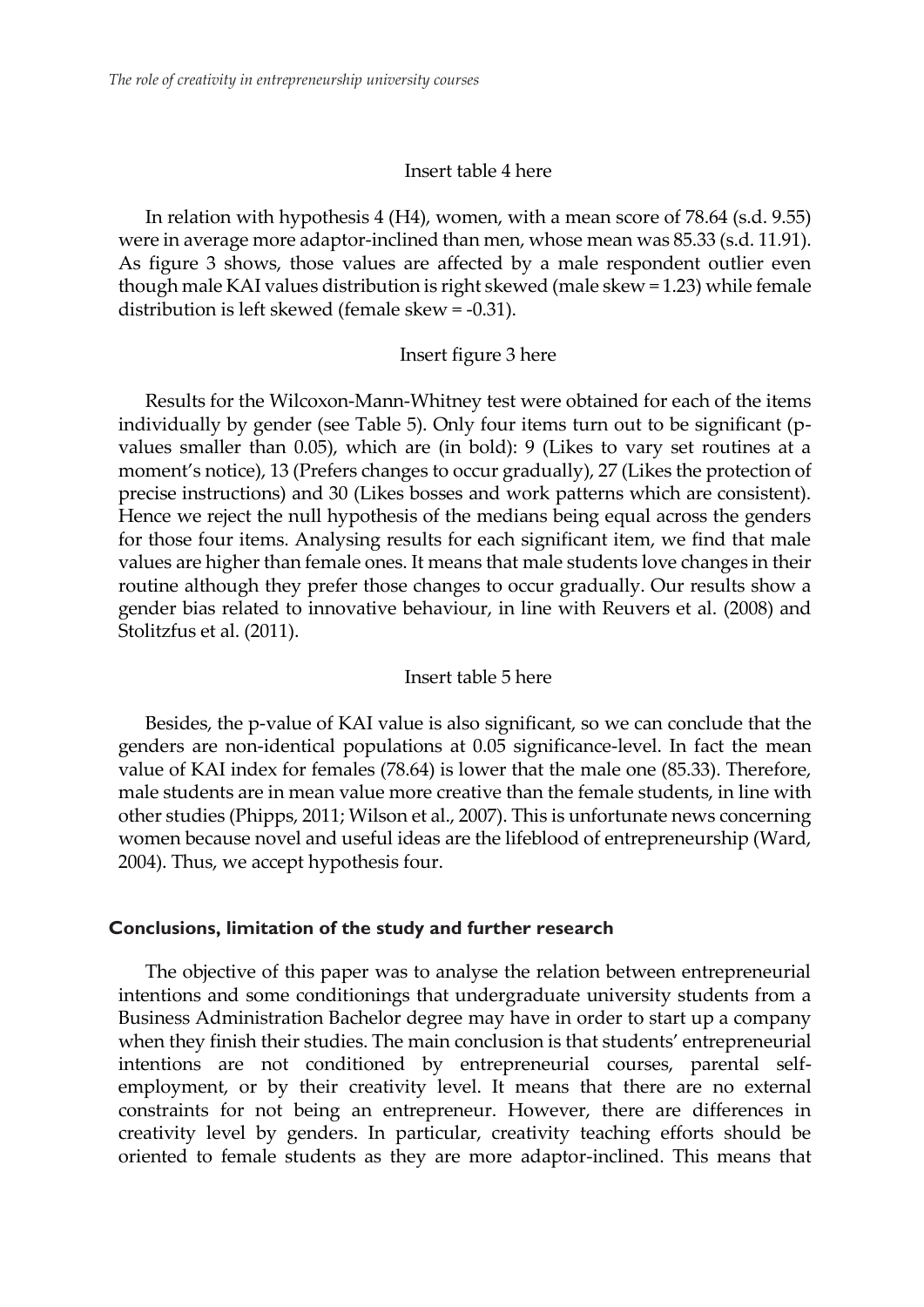#### Insert table 4 here

In relation with hypothesis 4 (H4), women, with a mean score of 78.64 (s.d. 9.55) were in average more adaptor-inclined than men, whose mean was 85.33 (s.d. 11.91). As figure 3 shows, those values are affected by a male respondent outlier even though male KAI values distribution is right skewed (male skew = 1.23) while female distribution is left skewed (female skew = -0.31).

#### Insert figure 3 here

Results for the Wilcoxon-Mann-Whitney test were obtained for each of the items individually by gender (see Table 5). Only four items turn out to be significant (pvalues smaller than 0.05), which are (in bold): 9 (Likes to vary set routines at a moment's notice), 13 (Prefers changes to occur gradually), 27 (Likes the protection of precise instructions) and 30 (Likes bosses and work patterns which are consistent). Hence we reject the null hypothesis of the medians being equal across the genders for those four items. Analysing results for each significant item, we find that male values are higher than female ones. It means that male students love changes in their routine although they prefer those changes to occur gradually. Our results show a gender bias related to innovative behaviour, in line with Reuvers et al. (2008) and Stolitzfus et al. (2011).

#### Insert table 5 here

Besides, the p-value of KAI value is also significant, so we can conclude that the genders are non-identical populations at 0.05 significance-level. In fact the mean value of KAI index for females (78.64) is lower that the male one (85.33). Therefore, male students are in mean value more creative than the female students, in line with other studies (Phipps, 2011; Wilson et al., 2007). This is unfortunate news concerning women because novel and useful ideas are the lifeblood of entrepreneurship (Ward, 2004). Thus, we accept hypothesis four.

#### **Conclusions, limitation of the study and further research**

The objective of this paper was to analyse the relation between entrepreneurial intentions and some conditionings that undergraduate university students from a Business Administration Bachelor degree may have in order to start up a company when they finish their studies. The main conclusion is that students' entrepreneurial intentions are not conditioned by entrepreneurial courses, parental selfemployment, or by their creativity level. It means that there are no external constraints for not being an entrepreneur. However, there are differences in creativity level by genders. In particular, creativity teaching efforts should be oriented to female students as they are more adaptor-inclined. This means that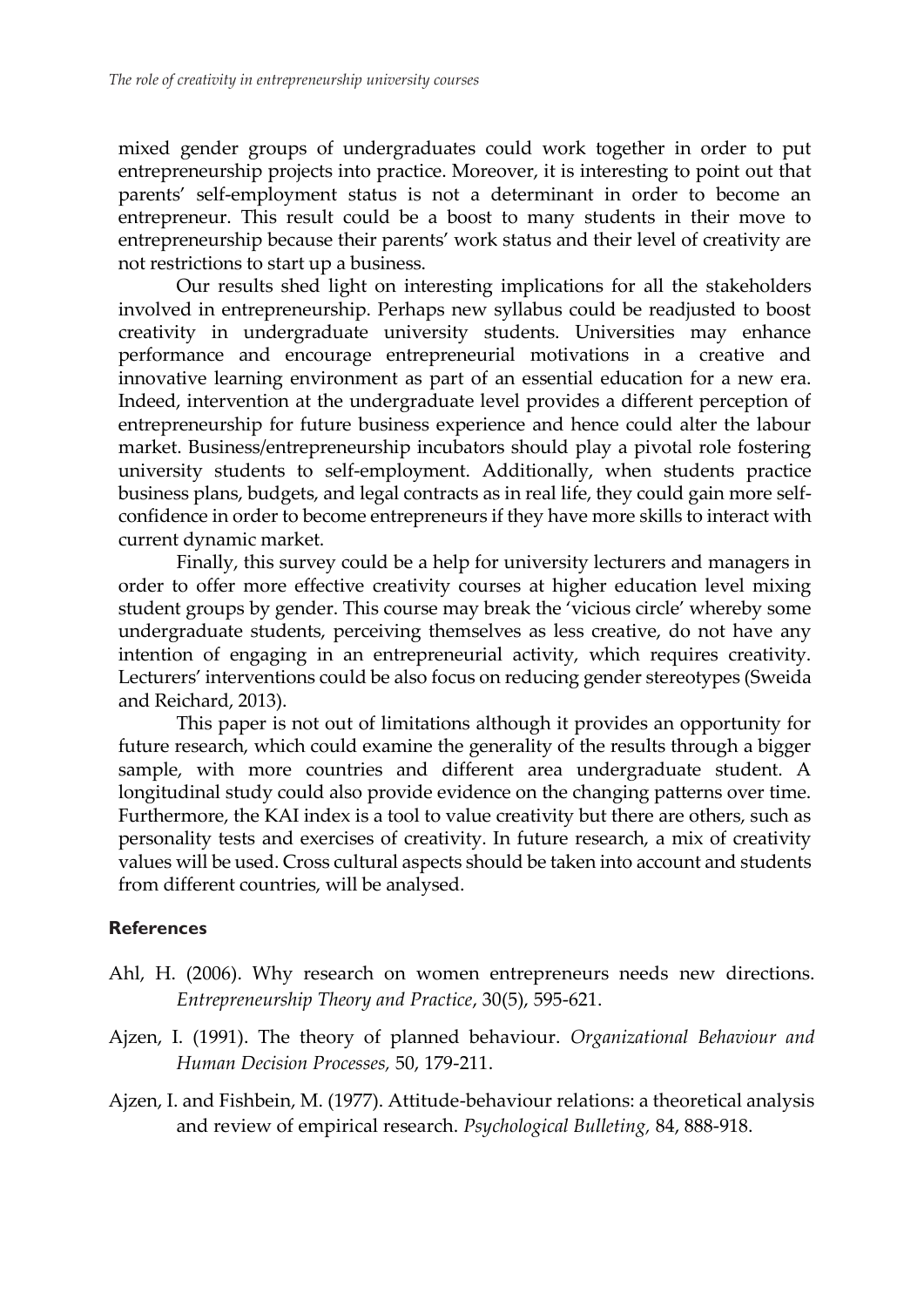mixed gender groups of undergraduates could work together in order to put entrepreneurship projects into practice. Moreover, it is interesting to point out that parents' self-employment status is not a determinant in order to become an entrepreneur. This result could be a boost to many students in their move to entrepreneurship because their parents' work status and their level of creativity are not restrictions to start up a business.

Our results shed light on interesting implications for all the stakeholders involved in entrepreneurship. Perhaps new syllabus could be readjusted to boost creativity in undergraduate university students. Universities may enhance performance and encourage entrepreneurial motivations in a creative and innovative learning environment as part of an essential education for a new era. Indeed, intervention at the undergraduate level provides a different perception of entrepreneurship for future business experience and hence could alter the labour market. Business/entrepreneurship incubators should play a pivotal role fostering university students to self-employment. Additionally, when students practice business plans, budgets, and legal contracts as in real life, they could gain more selfconfidence in order to become entrepreneurs if they have more skills to interact with current dynamic market.

Finally, this survey could be a help for university lecturers and managers in order to offer more effective creativity courses at higher education level mixing student groups by gender. This course may break the 'vicious circle' whereby some undergraduate students, perceiving themselves as less creative, do not have any intention of engaging in an entrepreneurial activity, which requires creativity. Lecturers' interventions could be also focus on reducing gender stereotypes (Sweida and Reichard, 2013).

This paper is not out of limitations although it provides an opportunity for future research, which could examine the generality of the results through a bigger sample, with more countries and different area undergraduate student. A longitudinal study could also provide evidence on the changing patterns over time. Furthermore, the KAI index is a tool to value creativity but there are others, such as personality tests and exercises of creativity. In future research, a mix of creativity values will be used. Cross cultural aspects should be taken into account and students from different countries, will be analysed.

# **References**

- Ahl, H. (2006). Why research on women entrepreneurs needs new directions. *Entrepreneurship Theory and Practice*, 30(5), 595-621.
- Ajzen, I. (1991). The theory of planned behaviour. *Organizational Behaviour and Human Decision Processes,* 50, 179-211.
- Ajzen, I. and Fishbein, M. (1977). Attitude-behaviour relations: a theoretical analysis and review of empirical research. *Psychological Bulleting,* 84, 888-918.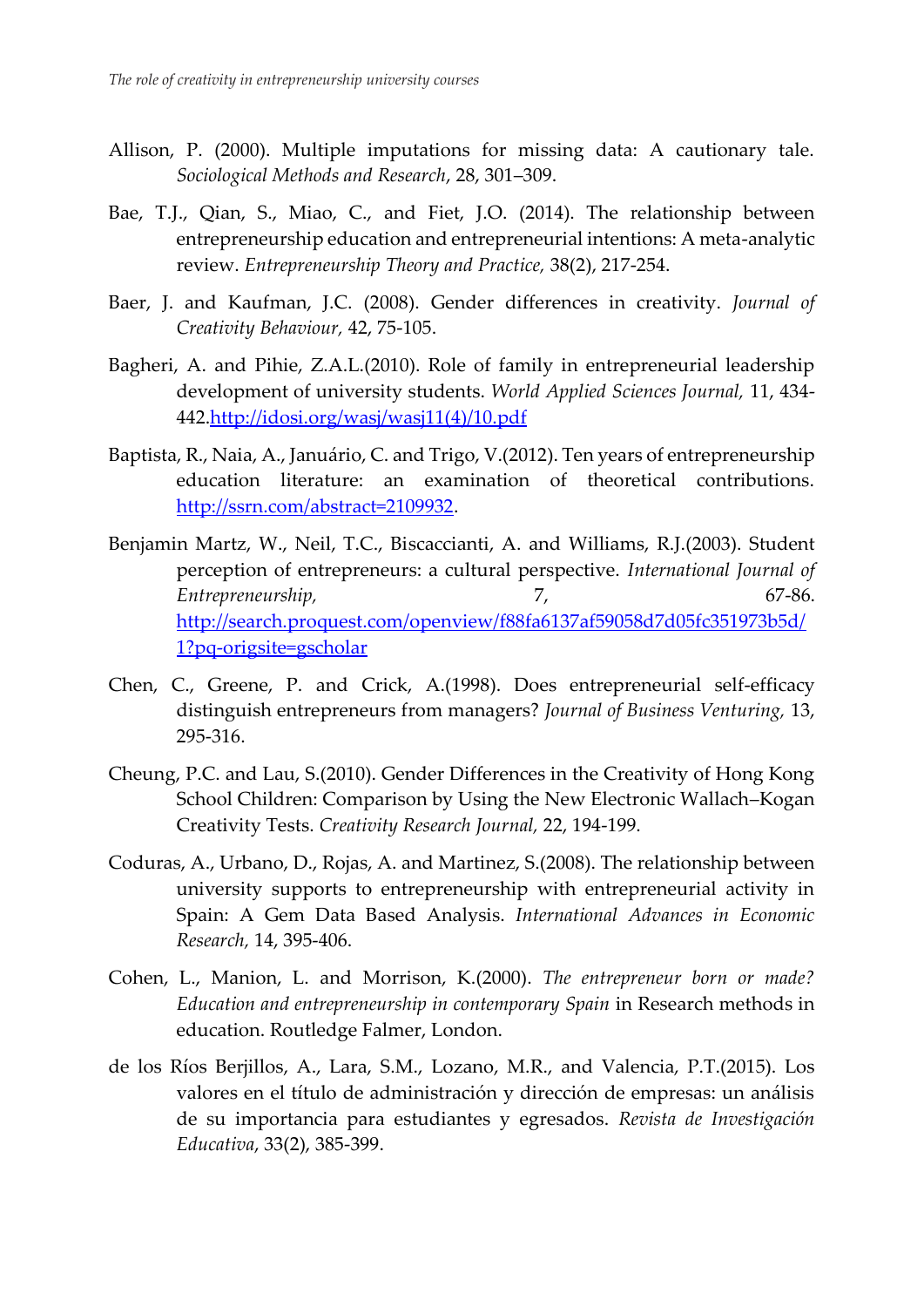- Allison, P. (2000). Multiple imputations for missing data: A cautionary tale. *Sociological Methods and Research*, 28, 301–309.
- Bae, T.J., Qian, S., Miao, C., and Fiet, J.O. (2014). The relationship between entrepreneurship education and entrepreneurial intentions: A meta‐analytic review. *Entrepreneurship Theory and Practice,* 38(2), 217-254.
- Baer, J. and Kaufman, J.C. (2008). Gender differences in creativity. *Journal of Creativity Behaviour,* 42, 75-105.
- Bagheri, A. and Pihie, Z.A.L.(2010). Role of family in entrepreneurial leadership development of university students. *World Applied Sciences Journal,* 11, 434- 44[2.http://idosi.org/wasj/wasj11\(4\)/10.pdf](http://idosi.org/wasj/wasj11(4)/10.pdf)
- Baptista, R., Naia, A., Januário, C. and Trigo, V.(2012). Ten years of entrepreneurship education literature: an examination of theoretical contributions. [http://ssrn.com/abstract=2109932.](http://ssrn.com/abstract=2109932)
- Benjamin Martz, W., Neil, T.C., Biscaccianti, A. and Williams, R.J.(2003). Student perception of entrepreneurs: a cultural perspective. *International Journal of Entrepreneurship,* 7, 67-86. [http://search.proquest.com/openview/f88fa6137af59058d7d05fc351973b5d/](http://search.proquest.com/openview/f88fa6137af59058d7d05fc351973b5d/1?pq-origsite=gscholar) [1?pq-origsite=gscholar](http://search.proquest.com/openview/f88fa6137af59058d7d05fc351973b5d/1?pq-origsite=gscholar)
- Chen, C., Greene, P. and Crick, A.(1998). Does entrepreneurial self-efficacy distinguish entrepreneurs from managers? *Journal of Business Venturing,* 13, 295-316.
- Cheung, P.C. and Lau, S.(2010). Gender Differences in the Creativity of Hong Kong School Children: Comparison by Using the New Electronic Wallach–Kogan Creativity Tests. *Creativity Research Journal,* 22, 194-199.
- Coduras, A., Urbano, D., Rojas, A. and Martinez, S.(2008). The relationship between university supports to entrepreneurship with entrepreneurial activity in Spain: A Gem Data Based Analysis. *International Advances in Economic Research,* 14, 395-406.
- Cohen, L., Manion, L. and Morrison, K.(2000). *The entrepreneur born or made? Education and entrepreneurship in contemporary Spain* in Research methods in education. Routledge Falmer, London.
- de los Ríos Berjillos, A., Lara, S.M., Lozano, M.R., and Valencia, P.T.(2015). Los valores en el título de administración y dirección de empresas: un análisis de su importancia para estudiantes y egresados. *Revista de Investigación Educativa*, 33(2), 385-399.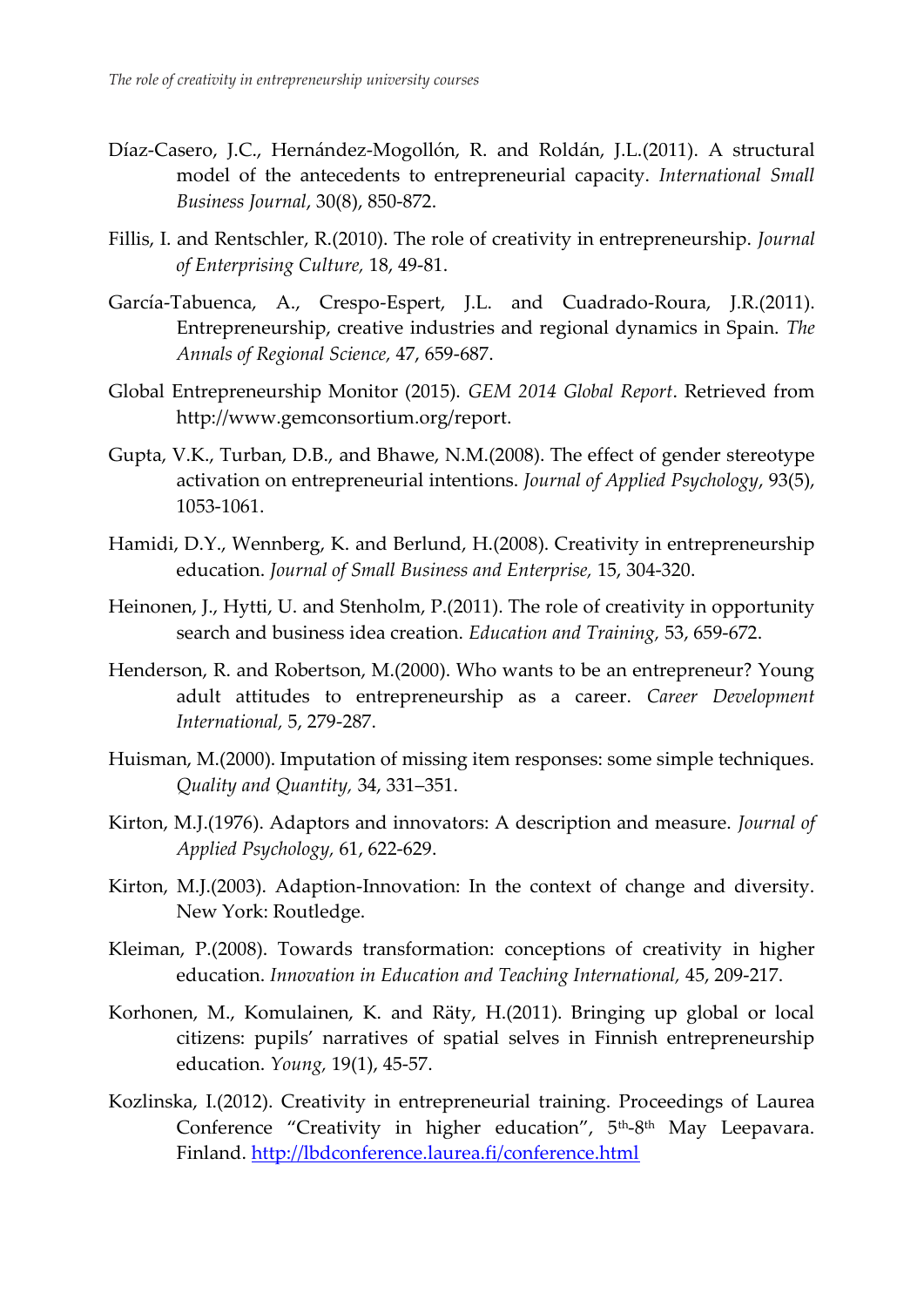- Díaz-Casero, J.C., Hernández-Mogollón, R. and Roldán, J.L.(2011). A structural model of the antecedents to entrepreneurial capacity. *International Small Business Journal*, 30(8), 850-872.
- Fillis, I. and Rentschler, R.(2010). The role of creativity in entrepreneurship. *Journal of Enterprising Culture,* 18, 49-81.
- García-Tabuenca, A., Crespo-Espert, J.L. and Cuadrado-Roura, J.R.(2011). Entrepreneurship, creative industries and regional dynamics in Spain. *The Annals of Regional Science,* 47, 659-687.
- Global Entrepreneurship Monitor (2015). *GEM 2014 Global Report*. Retrieved from http://www.gemconsortium.org/report.
- Gupta, V.K., Turban, D.B., and Bhawe, N.M.(2008). The effect of gender stereotype activation on entrepreneurial intentions. *Journal of Applied Psychology*, 93(5), 1053-1061.
- Hamidi, D.Y., Wennberg, K. and Berlund, H.(2008). Creativity in entrepreneurship education. *Journal of Small Business and Enterprise,* 15, 304-320.
- Heinonen, J., Hytti, U. and Stenholm, P.(2011). The role of creativity in opportunity search and business idea creation. *Education and Training,* 53, 659-672.
- Henderson, R. and Robertson, M.(2000). Who wants to be an entrepreneur? Young adult attitudes to entrepreneurship as a career. *Career Development International,* 5, 279-287.
- Huisman, M.(2000). Imputation of missing item responses: some simple techniques. *Quality and Quantity,* 34, 331–351.
- Kirton, M.J.(1976). Adaptors and innovators: A description and measure. *Journal of Applied Psychology,* 61, 622-629.
- Kirton, M.J.(2003). Adaption-Innovation: In the context of change and diversity. New York: Routledge.
- Kleiman, P.(2008). Towards transformation: conceptions of creativity in higher education. *Innovation in Education and Teaching International,* 45, 209-217.
- Korhonen, M., Komulainen, K. and Räty, H.(2011). Bringing up global or local citizens: pupils' narratives of spatial selves in Finnish entrepreneurship education. *Young,* 19(1), 45-57.
- Kozlinska, I.(2012). Creativity in entrepreneurial training. Proceedings of Laurea Conference "Creativity in higher education", 5<sup>th</sup>-8<sup>th</sup> May Leepavara. Finland.<http://lbdconference.laurea.fi/conference.html>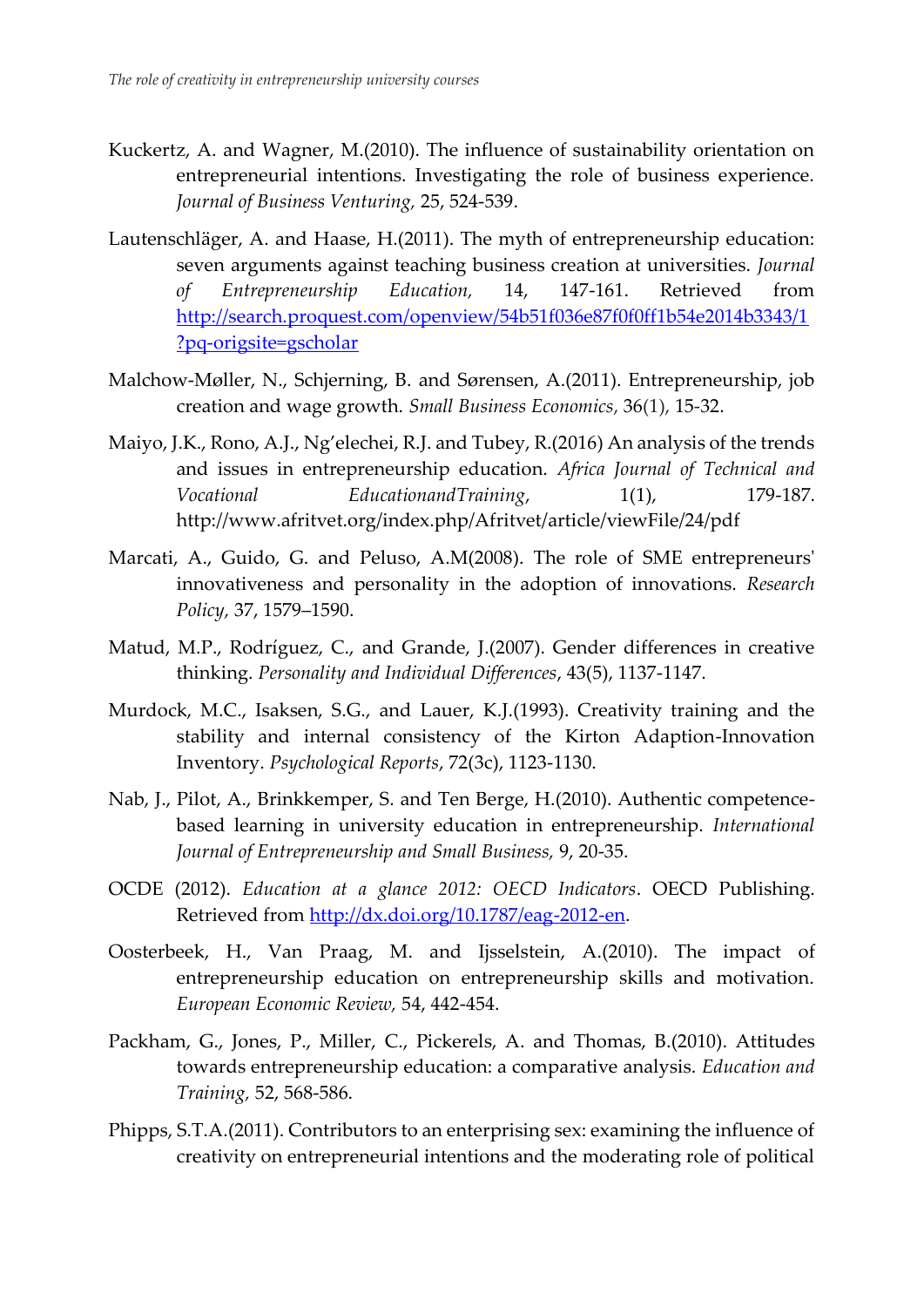- Kuckertz, A. and Wagner, M.(2010). The influence of sustainability orientation on entrepreneurial intentions. Investigating the role of business experience. *Journal of Business Venturing,* 25, 524-539.
- Lautenschläger, A. and Haase, H.(2011). The myth of entrepreneurship education: seven arguments against teaching business creation at universities. *Journal of Entrepreneurship Education,* 14, 147-161. Retrieved from [http://search.proquest.com/openview/54b51f036e87f0f0ff1b54e2014b3343/1](http://search.proquest.com/openview/54b51f036e87f0f0ff1b54e2014b3343/1?pq-origsite=gscholar) [?pq-origsite=gscholar](http://search.proquest.com/openview/54b51f036e87f0f0ff1b54e2014b3343/1?pq-origsite=gscholar)
- Malchow-Møller, N., Schjerning, B. and Sørensen, A.(2011). Entrepreneurship, job creation and wage growth. *Small Business Economics*, 36(1), 15-32.
- Maiyo, J.K., Rono, A.J., Ng'elechei, R.J. and Tubey, R.(2016) An analysis of the trends and issues in entrepreneurship education. *Africa Journal of Technical and Vocational EducationandTraining*, 1(1), 179-187. http://www.afritvet.org/index.php/Afritvet/article/viewFile/24/pdf
- Marcati, A., Guido, G. and Peluso, A.M(2008). The role of SME entrepreneurs' innovativeness and personality in the adoption of innovations. *Research Policy,* 37, 1579–1590.
- Matud, M.P., Rodríguez, C., and Grande, J.(2007). Gender differences in creative thinking. *Personality and Individual Differences*, 43(5), 1137-1147.
- Murdock, M.C., Isaksen, S.G., and Lauer, K.J.(1993). Creativity training and the stability and internal consistency of the Kirton Adaption-Innovation Inventory. *Psychological Reports*, 72(3c), 1123-1130.
- Nab, J., Pilot, A., Brinkkemper, S. and Ten Berge, H.(2010). Authentic competencebased learning in university education in entrepreneurship. *International Journal of Entrepreneurship and Small Business,* 9, 20-35.
- OCDE (2012). *Education at a glance 2012: OECD Indicators*. OECD Publishing. Retrieved from [http://dx.doi.org/10.1787/eag-2012-en.](http://dx.doi.org/10.1787/eag-2012-en)
- Oosterbeek, H., Van Praag, M. and Ijsselstein, A.(2010). The impact of entrepreneurship education on entrepreneurship skills and motivation. *European Economic Review,* 54, 442-454.
- Packham, G., Jones, P., Miller, C., Pickerels, A. and Thomas, B.(2010). Attitudes towards entrepreneurship education: a comparative analysis. *Education and Training,* 52, 568-586.
- Phipps, S.T.A.(2011). Contributors to an enterprising sex: examining the influence of creativity on entrepreneurial intentions and the moderating role of political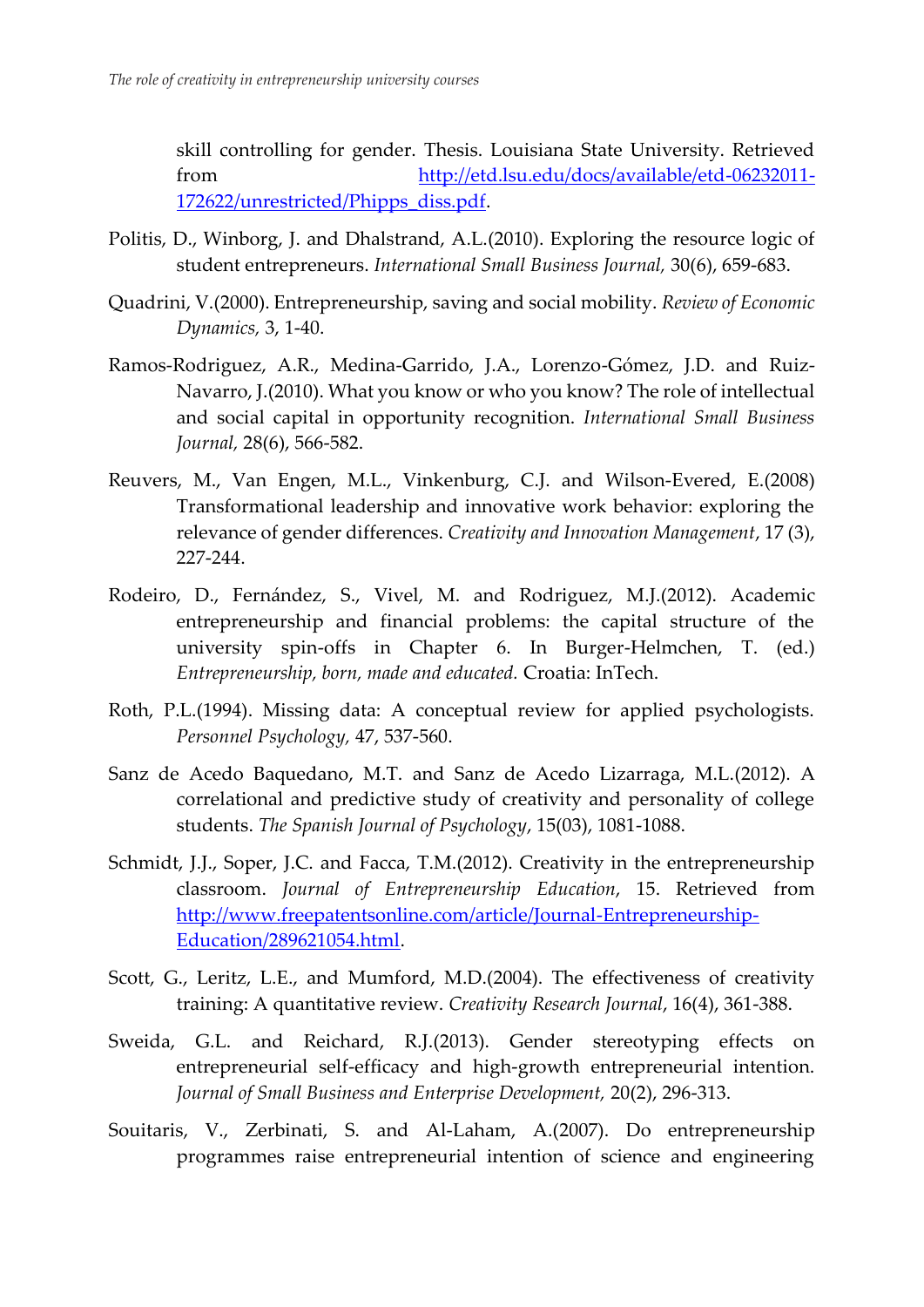skill controlling for gender. Thesis. Louisiana State University. Retrieved from [http://etd.lsu.edu/docs/available/etd-06232011-](http://etd.lsu.edu/docs/available/etd-06232011-172622/unrestricted/Phipps_diss.pdf) [172622/unrestricted/Phipps\\_diss.pdf.](http://etd.lsu.edu/docs/available/etd-06232011-172622/unrestricted/Phipps_diss.pdf)

- Politis, D., Winborg, J. and Dhalstrand, A.L.(2010). Exploring the resource logic of student entrepreneurs. *International Small Business Journal,* 30(6), 659-683.
- Quadrini, V.(2000). Entrepreneurship, saving and social mobility. *Review of Economic Dynamics,* 3, 1-40.
- Ramos-Rodriguez, A.R., Medina-Garrido, J.A., Lorenzo-Gómez, J.D. and Ruiz-Navarro, J.(2010). What you know or who you know? The role of intellectual and social capital in opportunity recognition. *International Small Business Journal,* 28(6), 566-582.
- Reuvers, M., Van Engen, M.L., Vinkenburg, C.J. and Wilson-Evered, E.(2008) Transformational leadership and innovative work behavior: exploring the relevance of gender differences. *Creativity and Innovation Management*, 17 (3), 227-244.
- Rodeiro, D., Fernández, S., Vivel, M. and Rodriguez, M.J.(2012). Academic entrepreneurship and financial problems: the capital structure of the university spin-offs in Chapter 6. In Burger-Helmchen, T. (ed.) *Entrepreneurship, born, made and educated.* Croatia: InTech.
- Roth, P.L.(1994). Missing data: A conceptual review for applied psychologists. *Personnel Psychology,* 47, 537-560.
- Sanz de Acedo Baquedano, M.T. and Sanz de Acedo Lizarraga, M.L.(2012). A correlational and predictive study of creativity and personality of college students. *The Spanish Journal of Psychology*, 15(03), 1081-1088.
- Schmidt, J.J., Soper, J.C. and Facca, T.M.(2012). Creativity in the entrepreneurship classroom. *Journal of Entrepreneurship Education*, 15. Retrieved from [http://www.freepatentsonline.com/article/Journal-Entrepreneurship-](http://www.freepatentsonline.com/article/Journal-Entrepreneurship-Education/289621054.html)[Education/289621054.html.](http://www.freepatentsonline.com/article/Journal-Entrepreneurship-Education/289621054.html)
- Scott, G., Leritz, L.E., and Mumford, M.D.(2004). The effectiveness of creativity training: A quantitative review. *Creativity Research Journal*, 16(4), 361-388.
- Sweida, G.L. and Reichard, R.J.(2013). Gender stereotyping effects on entrepreneurial self-efficacy and high-growth entrepreneurial intention. *Journal of Small Business and Enterprise Development,* 20(2), 296-313.
- Souitaris, V., Zerbinati, S. and Al-Laham, A.(2007). Do entrepreneurship programmes raise entrepreneurial intention of science and engineering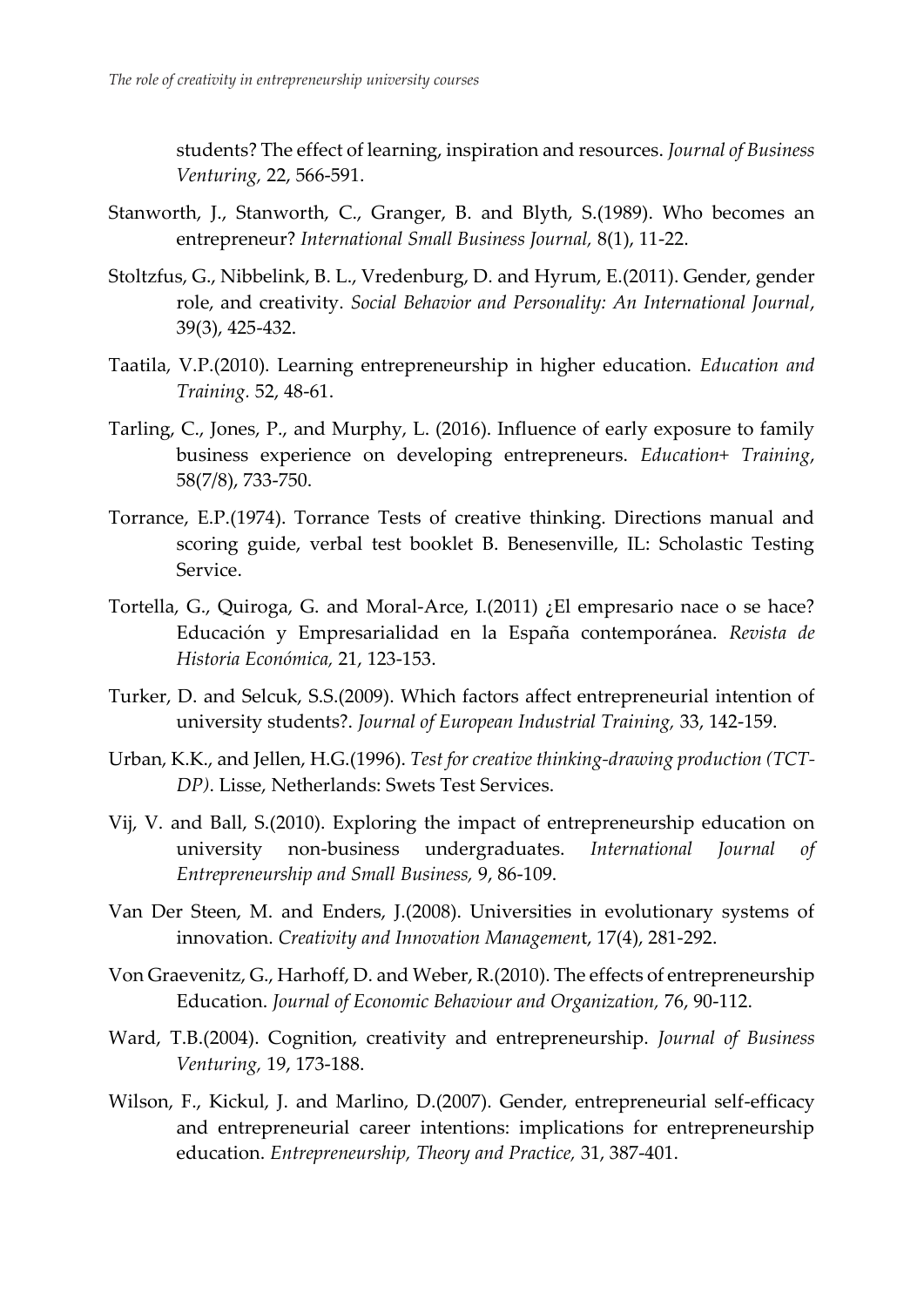students? The effect of learning, inspiration and resources. *Journal of Business Venturing,* 22, 566-591.

- Stanworth, J., Stanworth, C., Granger, B. and Blyth, S.(1989). Who becomes an entrepreneur? *International Small Business Journal,* 8(1), 11-22.
- Stoltzfus, G., Nibbelink, B. L., Vredenburg, D. and Hyrum, E.(2011). Gender, gender role, and creativity. *Social Behavior and Personality: An International Journal*, 39(3), 425-432.
- Taatila, V.P.(2010). Learning entrepreneurship in higher education. *Education and Training.* 52, 48-61.
- Tarling, C., Jones, P., and Murphy, L. (2016). Influence of early exposure to family business experience on developing entrepreneurs. *Education+ Training*, 58(7/8), 733-750.
- Torrance, E.P.(1974). Torrance Tests of creative thinking. Directions manual and scoring guide, verbal test booklet B. Benesenville, IL: Scholastic Testing Service.
- Tortella, G., Quiroga, G. and Moral-Arce, I.(2011) ¿El empresario nace o se hace? Educación y Empresarialidad en la España contemporánea. *Revista de Historia Económica,* 21, 123-153.
- Turker, D. and Selcuk, S.S.(2009). Which factors affect entrepreneurial intention of university students?. *Journal of European Industrial Training,* 33, 142-159.
- Urban, K.K., and Jellen, H.G.(1996). *Test for creative thinking-drawing production (TCT-DP)*. Lisse, Netherlands: Swets Test Services.
- Vij, V. and Ball, S.(2010). Exploring the impact of entrepreneurship education on university non-business undergraduates. *International Journal of Entrepreneurship and Small Business,* 9, 86-109.
- Van Der Steen, M. and Enders, J.(2008). Universities in evolutionary systems of innovation. *Creativity and Innovation Managemen*t, 17(4), 281-292.
- Von Graevenitz, G., Harhoff, D. and Weber, R.(2010). The effects of entrepreneurship Education. *Journal of Economic Behaviour and Organization,* 76, 90-112.
- Ward, T.B.(2004). Cognition, creativity and entrepreneurship. *Journal of Business Venturing,* 19, 173-188.
- Wilson, F., Kickul, J. and Marlino, D.(2007). Gender, entrepreneurial self-efficacy and entrepreneurial career intentions: implications for entrepreneurship education. *Entrepreneurship, Theory and Practice,* 31, 387-401.